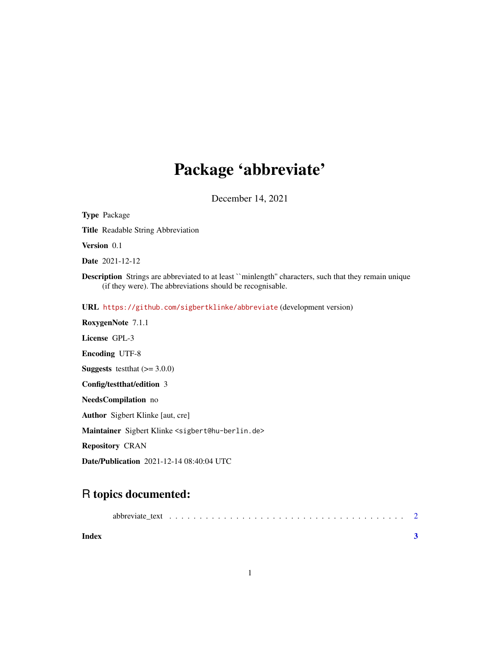## Package 'abbreviate'

December 14, 2021

<span id="page-0-0"></span>Type Package Title Readable String Abbreviation Version 0.1 Date 2021-12-12 Description Strings are abbreviated to at least ``minlength'' characters, such that they remain unique (if they were). The abbreviations should be recognisable. URL <https://github.com/sigbertklinke/abbreviate> (development version) RoxygenNote 7.1.1 License GPL-3 Encoding UTF-8 **Suggests** testthat  $(>= 3.0.0)$ Config/testthat/edition 3 NeedsCompilation no Author Sigbert Klinke [aut, cre] Maintainer Sigbert Klinke <sigbert@hu-berlin.de> Repository CRAN

Date/Publication 2021-12-14 08:40:04 UTC

### R topics documented:

| Index |  |  |  |  |  |  |  |  |  |  |  |
|-------|--|--|--|--|--|--|--|--|--|--|--|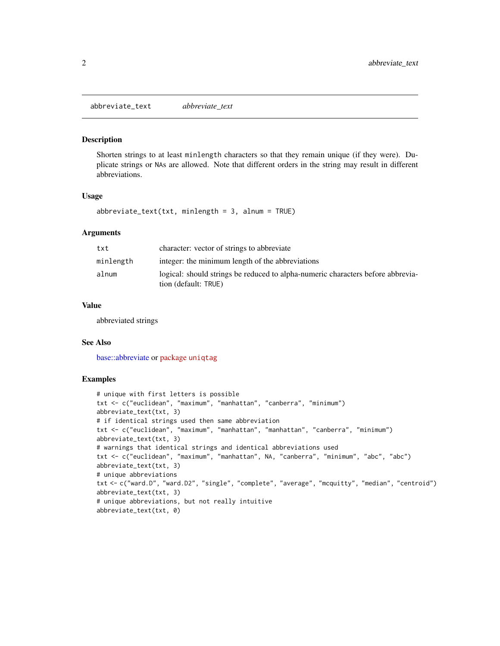<span id="page-1-0"></span>abbreviate\_text *abbreviate\_text*

#### Description

Shorten strings to at least minlength characters so that they remain unique (if they were). Duplicate strings or NAs are allowed. Note that different orders in the string may result in different abbreviations.

#### Usage

```
abbreviate_text(txt, minlength = 3, alnum = TRUE)
```
#### Arguments

| txt       | character: vector of strings to abbreviate                                                              |
|-----------|---------------------------------------------------------------------------------------------------------|
| minlength | integer: the minimum length of the abbreviations                                                        |
| alnum     | logical: should strings be reduced to alpha-numeric characters before abbrevia-<br>tion (default: TRUE) |

#### Value

abbreviated strings

#### See Also

[base::abbreviate](#page-0-0) or package [uniqtag](https://CRAN.R-project.org/package=uniqtag)

#### Examples

```
# unique with first letters is possible
txt <- c("euclidean", "maximum", "manhattan", "canberra", "minimum")
abbreviate_text(txt, 3)
# if identical strings used then same abbreviation
txt <- c("euclidean", "maximum", "manhattan", "manhattan", "canberra", "minimum")
abbreviate_text(txt, 3)
# warnings that identical strings and identical abbreviations used
txt <- c("euclidean", "maximum", "manhattan", NA, "canberra", "minimum", "abc", "abc")
abbreviate_text(txt, 3)
# unique abbreviations
txt <- c("ward.D", "ward.D2", "single", "complete", "average", "mcquitty", "median", "centroid")
abbreviate_text(txt, 3)
# unique abbreviations, but not really intuitive
abbreviate_text(txt, 0)
```